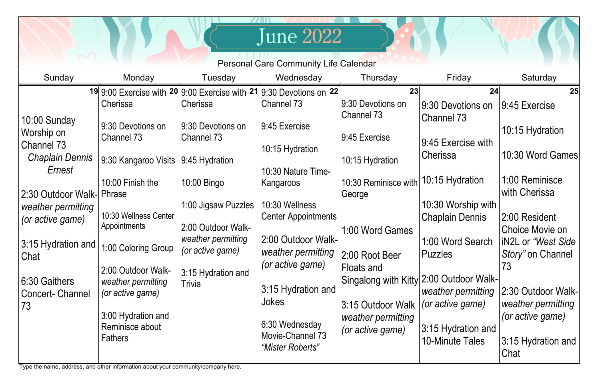| Friday<br>Saturday<br>Sunday<br>Wednesday<br>Monday<br>Tuesday<br>Thursday<br>19 9:00 Exercise with $20$ 9:00 Exercise with $21$ 9:30 Devotions on $22$<br>23<br>24<br>9:30 Devotions on<br>Channel 73<br>Cherissa<br>Cherissa<br>9:30 Devotions on<br>9:45 Exercise<br>Channel 73<br><b>Channel 73</b><br>10:00 Sunday<br>9:45 Exercise<br>9:30 Devotions on<br>9:30 Devotions on<br>Worship on<br>9:45 Exercise<br>Channel 73<br>Channel 73<br>9:45 Exercise with<br>Channel 73<br>10:15 Hydration<br>Cherissa<br><b>Chaplain Dennis</b><br>9:30 Kangaroo Visits<br>10:15 Hydration<br>$ 9:45$ Hydration<br>Ernest<br>10:30 Nature Time-<br>10:15 Hydration<br>10:30 Reminisce with<br>10:00 Finish the<br>10:00 Bingo<br>Kangaroos<br>with Cherissa<br>2:30 Outdoor Walk-  Phrase<br>George<br>10:30 Worship with<br>1:00 Jigsaw Puzzles<br>10:30 Wellness<br>weather permitting | <b>June 2022</b><br><b>Personal Care Community Life Calendar</b> |                       |  |                            |  |                        |                                                                                                                                                                                                                                             |  |  |  |  |  |
|-------------------------------------------------------------------------------------------------------------------------------------------------------------------------------------------------------------------------------------------------------------------------------------------------------------------------------------------------------------------------------------------------------------------------------------------------------------------------------------------------------------------------------------------------------------------------------------------------------------------------------------------------------------------------------------------------------------------------------------------------------------------------------------------------------------------------------------------------------------------------------------|------------------------------------------------------------------|-----------------------|--|----------------------------|--|------------------------|---------------------------------------------------------------------------------------------------------------------------------------------------------------------------------------------------------------------------------------------|--|--|--|--|--|
|                                                                                                                                                                                                                                                                                                                                                                                                                                                                                                                                                                                                                                                                                                                                                                                                                                                                                     |                                                                  |                       |  |                            |  |                        |                                                                                                                                                                                                                                             |  |  |  |  |  |
| Appointments<br>2:00 Outdoor Walk-<br>1:00 Word Games<br>weather permitting<br>2:00 Outdoor Walk-<br>1:00 Word Search<br>3:15 Hydration and<br>1:00 Coloring Group<br>(or active game)<br>weather permitting<br><b>Puzzles</b><br>2:00 Root Beer<br>Chat<br>(or active game)<br>Floats and<br>73<br>2:00 Outdoor Walk-<br>3:15 Hydration and<br>Singalong with Kitty 2:00 Outdoor Walk-<br>6:30 Gaithers<br>weather permitting<br>Trivia<br>3:15 Hydration and<br>weather permitting<br>(or active game)<br><b>Concert-Channel</b><br><b>Jokes</b><br>(or active game)<br>3:15 Outdoor Walk<br>73<br>3:00 Hydration and<br>weather permitting<br>6:30 Wednesday<br>Reminisce about<br>3:15 Hydration and<br>(or active game)<br>Movie-Channel 73<br><b>Fathers</b><br><b>10-Minute Tales</b><br>"Mister Roberts"<br>Chat                                                            | (or active game)                                                 | 10:30 Wellness Center |  | <b>Center Appointments</b> |  | <b>Chaplain Dennis</b> | 25<br>10:15 Hydration<br>10:30 Word Games<br>1:00 Reminisce<br>2:00 Resident<br><b>Choice Movie on</b><br>  iN2L or "West Side  <br>Story" on Channel<br>2:30 Outdoor Walk-<br>weather permitting<br>(or active game)<br>3:15 Hydration and |  |  |  |  |  |

Type the name, address, and other information about your community/company here.